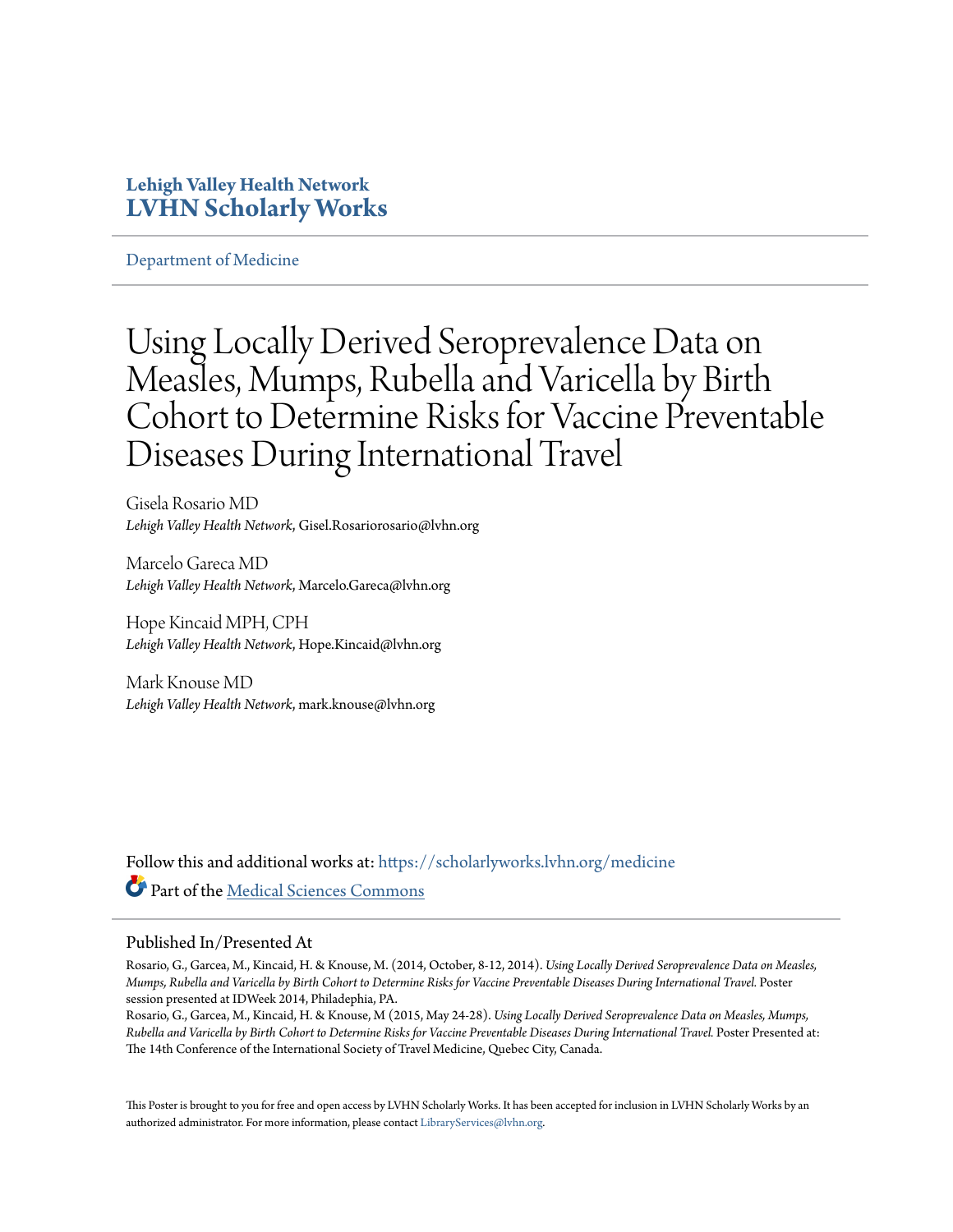#### **Lehigh Valley Health Network [LVHN Scholarly Works](https://scholarlyworks.lvhn.org?utm_source=scholarlyworks.lvhn.org%2Fmedicine%2F490&utm_medium=PDF&utm_campaign=PDFCoverPages)**

[Department of Medicine](https://scholarlyworks.lvhn.org/medicine?utm_source=scholarlyworks.lvhn.org%2Fmedicine%2F490&utm_medium=PDF&utm_campaign=PDFCoverPages)

### Using Locally Derived Seroprevalence Data on Measles, Mumps, Rubella and Varicella by Birth Cohort to Determine Risks for Vaccine Preventable Diseases During International Travel

Gisela Rosario MD *Lehigh Valley Health Network*, Gisel.Rosariorosario@lvhn.org

Marcelo Gareca MD *Lehigh Valley Health Network*, Marcelo.Gareca@lvhn.org

Hope Kincaid MPH, CPH *Lehigh Valley Health Network*, Hope.Kincaid@lvhn.org

Mark Knouse MD *Lehigh Valley Health Network*, mark.knouse@lvhn.org

Follow this and additional works at: [https://scholarlyworks.lvhn.org/medicine](https://scholarlyworks.lvhn.org/medicine?utm_source=scholarlyworks.lvhn.org%2Fmedicine%2F490&utm_medium=PDF&utm_campaign=PDFCoverPages) Part of the [Medical Sciences Commons](http://network.bepress.com/hgg/discipline/664?utm_source=scholarlyworks.lvhn.org%2Fmedicine%2F490&utm_medium=PDF&utm_campaign=PDFCoverPages)

#### Published In/Presented At

Rosario, G., Garcea, M., Kincaid, H. & Knouse, M. (2014, October, 8-12, 2014). *Using Locally Derived Seroprevalence Data on Measles, Mumps, Rubella and Varicella by Birth Cohort to Determine Risks for Vaccine Preventable Diseases During International Travel.* Poster session presented at IDWeek 2014, Philadephia, PA.

Rosario, G., Garcea, M., Kincaid, H. & Knouse, M (2015, May 24-28). *Using Locally Derived Seroprevalence Data on Measles, Mumps, Rubella and Varicella by Birth Cohort to Determine Risks for Vaccine Preventable Diseases During International Travel.* Poster Presented at: The 14th Conference of the International Society of Travel Medicine, Quebec City, Canada.

This Poster is brought to you for free and open access by LVHN Scholarly Works. It has been accepted for inclusion in LVHN Scholarly Works by an authorized administrator. For more information, please contact [LibraryServices@lvhn.org.](mailto:LibraryServices@lvhn.org)